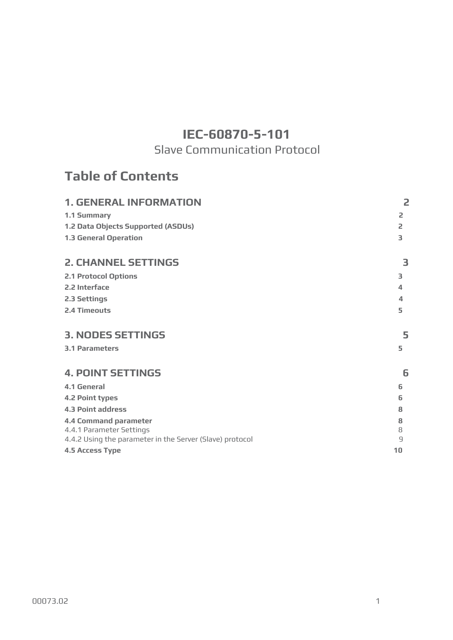# **IEC-60870-5-101**

# Slave Communication Protocol

# **Table of Contents**

| <b>1. GENERAL INFORMATION</b>                                                        | 2                   |
|--------------------------------------------------------------------------------------|---------------------|
| 1.1 Summary                                                                          | 2                   |
| 1.2 Data Objects Supported (ASDUs)                                                   | $\overline{2}$      |
| <b>1.3 General Operation</b>                                                         | 3                   |
| <b>2. CHANNEL SETTINGS</b>                                                           | 3                   |
| <b>2.1 Protocol Options</b>                                                          | 3                   |
| 2.2 Interface                                                                        | 4                   |
| 2.3 Settings                                                                         | 4                   |
| 2.4 Timeouts                                                                         | 5                   |
| <b>3. NODES SETTINGS</b>                                                             | 5                   |
| <b>3.1 Parameters</b>                                                                | 5                   |
| <b>4. POINT SETTINGS</b>                                                             | 6                   |
| <b>4.1 General</b>                                                                   | 6                   |
| <b>4.2 Point types</b>                                                               | 6                   |
| <b>4.3 Point address</b>                                                             | 8                   |
| <b>4.4 Command parameter</b>                                                         | 8                   |
| 4.4.1 Parameter Settings<br>4.4.2 Using the parameter in the Server (Slave) protocol | 8<br>$\overline{9}$ |
| <b>4.5 Access Type</b>                                                               | 10                  |
|                                                                                      |                     |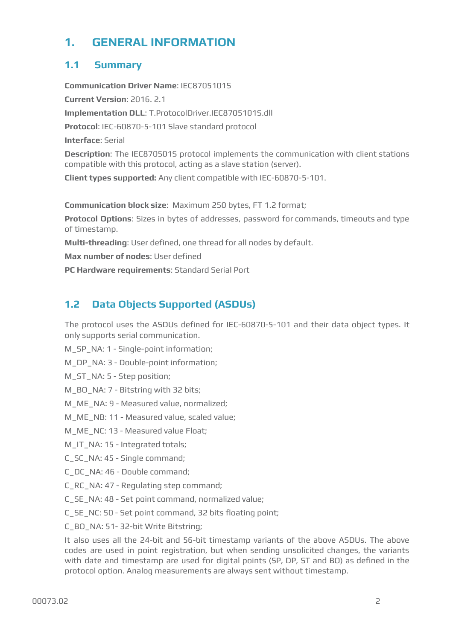# <span id="page-1-0"></span>**1. GENERAL INFORMATION**

# <span id="page-1-1"></span>**1.1 Summary**

**Communication Driver Name**: IEC8705101S **Current Version**: 2016. 2.1 **Implementation DLL**: T.ProtocolDriver.IEC8705101S.dll **Protocol**: IEC-60870-5-101 Slave standard protocol **Interface**: Serial **Description**: The IEC870501S protocol implements the communication with client stations compatible with this protocol, acting as a slave station (server). **Client types supported:** Any client compatible with IEC-60870-5-101.

**Communication block size**: Maximum 250 bytes, FT 1.2 format;

**Protocol Options**: Sizes in bytes of addresses, password for commands, timeouts and type of timestamp.

**Multi-threading**: User defined, one thread for all nodes by default.

**Max number of nodes**: User defined

**PC Hardware requirements**: Standard Serial Port

# <span id="page-1-2"></span>**1.2 Data Objects Supported (ASDUs)**

The protocol uses the ASDUs defined for IEC-60870-5-101 and their data object types. It only supports serial communication.

M\_SP\_NA: 1 - Single-point information;

M\_DP\_NA: 3 - Double-point information;

M\_ST\_NA: 5 - Step position;

M\_BO\_NA: 7 - Bitstring with 32 bits;

M\_ME\_NA: 9 - Measured value, normalized;

M\_ME\_NB: 11 - Measured value, scaled value;

M\_ME\_NC: 13 - Measured value Float;

M\_IT\_NA: 15 - Integrated totals;

C\_SC\_NA: 45 - Single command;

C\_DC\_NA: 46 - Double command;

C\_RC\_NA: 47 - Regulating step command;

C\_SE\_NA: 48 - Set point command, normalized value;

C\_SE\_NC: 50 - Set point command, 32 bits floating point;

C\_BO\_NA: 51- 32-bit Write Bitstring;

It also uses all the 24-bit and 56-bit timestamp variants of the above ASDUs. The above codes are used in point registration, but when sending unsolicited changes, the variants with date and timestamp are used for digital points (SP, DP, ST and BO) as defined in the protocol option. Analog measurements are always sent without timestamp.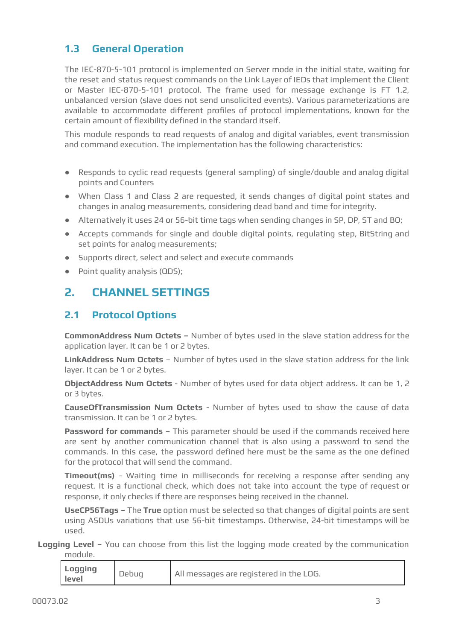# <span id="page-2-0"></span>**1.3 General Operation**

The IEC-870-5-101 protocol is implemented on Server mode in the initial state, waiting for the reset and status request commands on the Link Layer of IEDs that implement the Client or Master IEC-870-5-101 protocol. The frame used for message exchange is FT 1.2, unbalanced version (slave does not send unsolicited events). Various parameterizations are available to accommodate different profiles of protocol implementations, known for the certain amount of flexibility defined in the standard itself.

This module responds to read requests of analog and digital variables, event transmission and command execution. The implementation has the following characteristics:

- Responds to cyclic read requests (general sampling) of single/double and analog digital points and Counters
- When Class 1 and Class 2 are requested, it sends changes of digital point states and changes in analog measurements, considering dead band and time for integrity.
- Alternatively it uses 24 or 56-bit time tags when sending changes in SP, DP, ST and BO;
- Accepts commands for single and double digital points, regulating step, BitString and set points for analog measurements;
- Supports direct, select and select and execute commands
- Point quality analysis (QDS);

# <span id="page-2-1"></span>**2. CHANNEL SETTINGS**

# <span id="page-2-2"></span>**2.1 Protocol Options**

**CommonAddress Num Octets –** Number of bytes used in the slave station address for the application layer. It can be 1 or 2 bytes.

**LinkAddress Num Octets** – Number of bytes used in the slave station address for the link layer. It can be 1 or 2 bytes.

**ObjectAddress Num Octets** - Number of bytes used for data object address. It can be 1, 2 or 3 bytes.

**CauseOfTransmission Num Octets** - Number of bytes used to show the cause of data transmission. It can be 1 or 2 bytes.

**Password for commands** – This parameter should be used if the commands received here are sent by another communication channel that is also using a password to send the commands. In this case, the password defined here must be the same as the one defined for the protocol that will send the command.

**Timeout(ms)** - Waiting time in milliseconds for receiving a response after sending any request. It is a functional check, which does not take into account the type of request or response, it only checks if there are responses being received in the channel.

**UseCP56Tags** – The **True** option must be selected so that changes of digital points are sent using ASDUs variations that use 56-bit timestamps. Otherwise, 24-bit timestamps will be used.

**Logging Level –** You can choose from this list the logging mode created by the communication module.

| <b>Logging</b><br>level | All messages are registered in the LOG. |
|-------------------------|-----------------------------------------|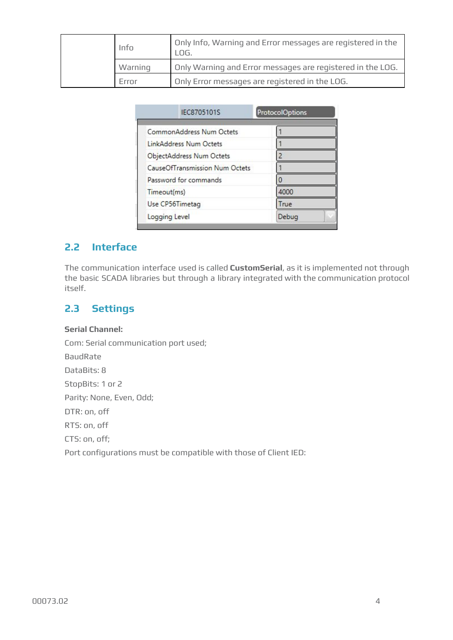| Info    | Only Info, Warning and Error messages are registered in the<br>LOG. |
|---------|---------------------------------------------------------------------|
| Warning | Only Warning and Error messages are registered in the LOG.          |
| Frror   | Only Error messages are registered in the LOG.                      |

| IEC8705101S                           | <b>ProtocolOptions</b> |
|---------------------------------------|------------------------|
| CommonAddress Num Octets              |                        |
| <b>LinkAddress Num Octets</b>         |                        |
| ObjectAddress Num Octets              |                        |
| <b>CauseOfTransmission Num Octets</b> |                        |
| Password for commands                 |                        |
| Timeout(ms)                           | 4000                   |
| Use CP56Timetag                       | True                   |
| Logging Level                         | Debug                  |

# <span id="page-3-0"></span>**2.2 Interface**

The communication interface used is called **CustomSerial**, as it is implemented not through the basic SCADA libraries but through a library integrated with the communication protocol itself.

# <span id="page-3-1"></span>**2.3 Settings**

#### **Serial Channel:**

Com: Serial communication port used;

BaudRate

DataBits: 8

StopBits: 1 or 2

Parity: None, Even, Odd;

DTR: on, off

RTS: on, off

CTS: on, off;

Port configurations must be compatible with those of Client IED: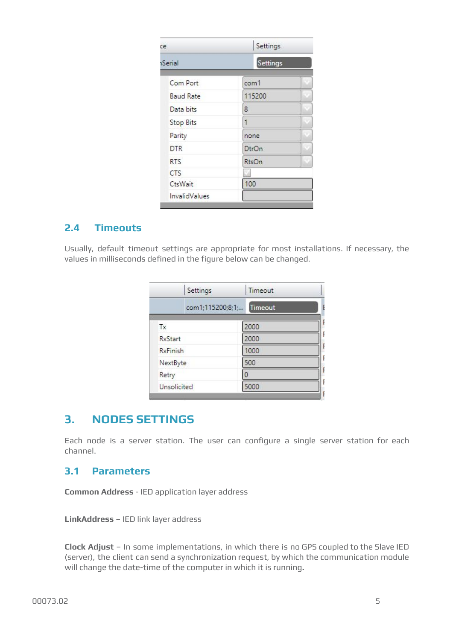| ce               | Settings<br>Settings |  |
|------------------|----------------------|--|
| Serial           |                      |  |
| Com Port         | com1                 |  |
| <b>Baud Rate</b> | 115200               |  |
| Data bits        | 8                    |  |
| <b>Stop Bits</b> | 1                    |  |
| Parity           | none                 |  |
| <b>DTR</b>       | <b>DtrOn</b>         |  |
| <b>RTS</b>       | RtsOn                |  |
| <b>CTS</b>       |                      |  |
| CtsWait          | 100                  |  |
| InvalidValues    |                      |  |

# <span id="page-4-0"></span>**2.4 Timeouts**

Usually, default timeout settings are appropriate for most installations. If necessary, the values in milliseconds defined in the figure below can be changed.

| Settings        | Timeout                            |  |
|-----------------|------------------------------------|--|
|                 | <b>Timeout</b><br>com1;115200;8;1; |  |
| Tx              | 2000                               |  |
| <b>RxStart</b>  | 2000                               |  |
| <b>RxFinish</b> | 1000                               |  |
| NextByte        | 500                                |  |
| Retry           |                                    |  |
| Unsolicited     | 5000                               |  |

# <span id="page-4-1"></span>**3. NODES SETTINGS**

Each node is a server station. The user can configure a single server station for each channel.

### <span id="page-4-2"></span>**3.1 Parameters**

**Common Address** - IED application layer address

**LinkAddress** – IED link layer address

**Clock Adjust** – In some implementations, in which there is no GPS coupled to the Slave IED (server), the client can send a synchronization request, by which the communication module will change the date-time of the computer in which it is running**.**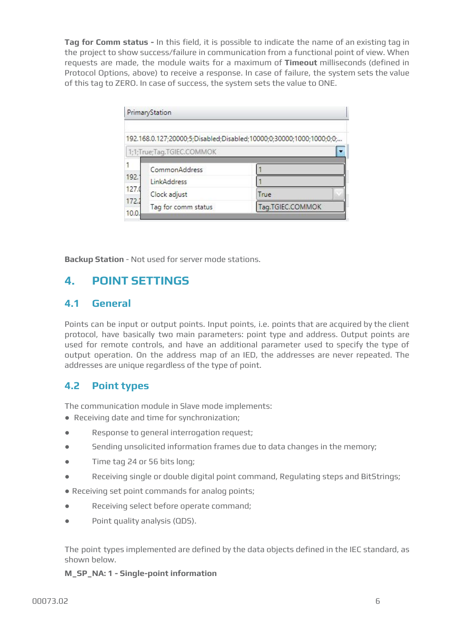**Tag for Comm status -** In this field, it is possible to indicate the name of an existing tag in the project to show success/failure in communication from a functional point of view. When requests are made, the module waits for a maximum of **Timeout** milliseconds (defined in Protocol Options, above) to receive a response. In case of failure, the system sets the value of this tag to ZERO. In case of success, the system sets the value to ONE.

|               | PrimaryStation            |                                                                    |  |
|---------------|---------------------------|--------------------------------------------------------------------|--|
|               |                           | 192.168.0.127;20000;5;Disabled;Disabled;10000;0;30000;1000;1000;0; |  |
|               | 1;1;True;Tag.TGIEC.COMMOK |                                                                    |  |
|               | CommonAddress             |                                                                    |  |
| 192.7         | LinkAddress               |                                                                    |  |
| 127.0         | Clock adjust              | True                                                               |  |
| 172.2<br>10.0 | Tag for comm status       | Tag.TGIEC.COMMOK                                                   |  |

**Backup Station** - Not used for server mode stations.

# <span id="page-5-0"></span>**4. POINT SETTINGS**

### <span id="page-5-1"></span>**4.1 General**

Points can be input or output points. Input points, i.e. points that are acquired by the client protocol, have basically two main parameters: point type and address. Output points are used for remote controls, and have an additional parameter used to specify the type of output operation. On the address map of an IED, the addresses are never repeated. The addresses are unique regardless of the type of point.

# <span id="page-5-2"></span>**4.2 Point types**

The communication module in Slave mode implements:

- Receiving date and time for synchronization;
- Response to general interrogation request;
- Sending unsolicited information frames due to data changes in the memory;
- Time tag 24 or 56 bits long;
- Receiving single or double digital point command, Regulating steps and BitStrings;

● Receiving set point commands for analog points;

- Receiving select before operate command;
- Point quality analysis (QDS).

The point types implemented are defined by the data objects defined in the IEC standard, as shown below.

**M\_SP\_NA: 1 - Single-point information**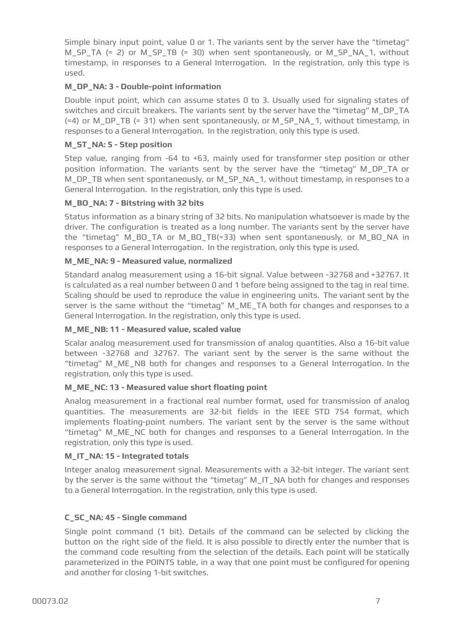Simple binary input point, value 0 or 1. The variants sent by the server have the "timetag" M\_SP\_TA (= 2) or M\_SP\_TB (= 30) when sent spontaneously, or M\_SP\_NA\_1, without timestamp, in responses to a General Interrogation. In the registration, only this type is used.

#### **M\_DP\_NA: 3 - Double-point information**

Double input point, which can assume states 0 to 3. Usually used for signaling states of switches and circuit breakers. The variants sent by the server have the "timetag" M\_DP\_TA (=4) or M\_DP\_TB (= 31) when sent spontaneously, or M\_SP\_NA\_1, without timestamp, in responses to a General Interrogation. In the registration, only this type is used.

#### **M\_ST\_NA: 5 - Step position**

Step value, ranging from -64 to +63, mainly used for transformer step position or other position information. The variants sent by the server have the "timetag" M\_DP\_TA or M\_DP\_TB when sent spontaneously, or M\_SP\_NA\_1, without timestamp, in responses to a General Interrogation. In the registration, only this type is used.

#### **M\_BO\_NA: 7 - Bitstring with 32 bits**

Status information as a binary string of 32 bits. No manipulation whatsoever is made by the driver. The configuration is treated as a long number. The variants sent by the server have the "timetag" M\_BO\_TA or M\_BO\_TB(=33) when sent spontaneously, or M\_BO\_NA in responses to a General Interrogation. In the registration, only this type is used.

#### **M\_ME\_NA: 9 - Measured value, normalized**

Standard analog measurement using a 16-bit signal. Value between -32768 and +32767. It is calculated as a real number between 0 and 1 before being assigned to the tag in real time. Scaling should be used to reproduce the value in engineering units. The variant sent by the server is the same without the "timetag" M\_ME\_TA both for changes and responses to a General Interrogation. In the registration, only this type is used.

#### **M\_ME\_NB: 11 - Measured value, scaled value**

Scalar analog measurement used for transmission of analog quantities. Also a 16-bit value between -32768 and 32767. The variant sent by the server is the same without the "timetag" M\_ME\_NB both for changes and responses to a General Interrogation. In the registration, only this type is used.

#### **M\_ME\_NC: 13 - Measured value short floating point**

Analog measurement in a fractional real number format, used for transmission of analog quantities. The measurements are 32-bit fields in the IEEE STD 754 format, which implements floating-point numbers. The variant sent by the server is the same without "timetag" M\_ME\_NC both for changes and responses to a General Interrogation. In the registration, only this type is used.

#### **M\_IT\_NA: 15 - Integrated totals**

Integer analog measurement signal. Measurements with a 32-bit integer. The variant sent by the server is the same without the "timetag" M\_IT\_NA both for changes and responses to a General Interrogation. In the registration, only this type is used.

#### **C\_SC\_NA: 45 - Single command**

Single point command (1 bit). Details of the command can be selected by clicking the button on the right side of the field. It is also possible to directly enter the number that is the command code resulting from the selection of the details. Each point will be statically parameterized in the POINTS table, in a way that one point must be configured for opening and another for closing 1-bit switches.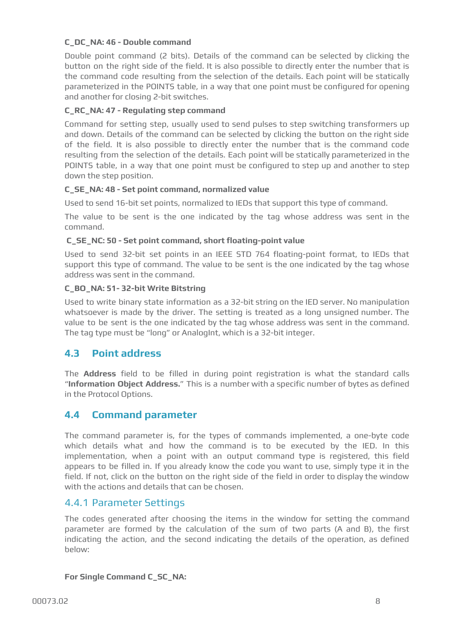#### **C\_DC\_NA: 46 - Double command**

Double point command (2 bits). Details of the command can be selected by clicking the button on the right side of the field. It is also possible to directly enter the number that is the command code resulting from the selection of the details. Each point will be statically parameterized in the POINTS table, in a way that one point must be configured for opening and another for closing 2-bit switches.

#### **C\_RC\_NA: 47 - Regulating step command**

Command for setting step, usually used to send pulses to step switching transformers up and down. Details of the command can be selected by clicking the button on the right side of the field. It is also possible to directly enter the number that is the command code resulting from the selection of the details. Each point will be statically parameterized in the POINTS table, in a way that one point must be configured to step up and another to step down the step position.

#### **C\_SE\_NA: 48 - Set point command, normalized value**

Used to send 16-bit set points, normalized to IEDs that support this type of command.

The value to be sent is the one indicated by the tag whose address was sent in the command.

#### **C\_SE\_NC: 50 - Set point command, short floating-point value**

Used to send 32-bit set points in an IEEE STD 764 floating-point format, to IEDs that support this type of command. The value to be sent is the one indicated by the tag whose address was sent in the command.

#### **C\_BO\_NA: 51- 32-bit Write Bitstring**

Used to write binary state information as a 32-bit string on the IED server. No manipulation whatsoever is made by the driver. The setting is treated as a long unsigned number. The value to be sent is the one indicated by the tag whose address was sent in the command. The tag type must be "long" or AnalogInt, which is a 32-bit integer.

### <span id="page-7-0"></span>**4.3 Point address**

The **Address** field to be filled in during point registration is what the standard calls "**Information Object Address.**" This is a number with a specific number of bytes as defined in the Protocol Options.

#### <span id="page-7-1"></span>**4.4 Command parameter**

The command parameter is, for the types of commands implemented, a one-byte code which details what and how the command is to be executed by the IED. In this implementation, when a point with an output command type is registered, this field appears to be filled in. If you already know the code you want to use, simply type it in the field. If not, click on the button on the right side of the field in order to display the window with the actions and details that can be chosen.

#### <span id="page-7-2"></span>4.4.1 Parameter Settings

The codes generated after choosing the items in the window for setting the command parameter are formed by the calculation of the sum of two parts (A and B), the first indicating the action, and the second indicating the details of the operation, as defined below:

#### **For Single Command C\_SC\_NA:**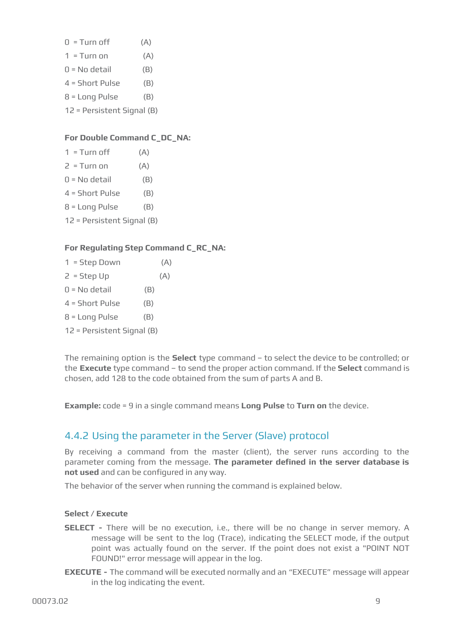- $0 =$ Turn off  $(A)$
- $1 =$ Turn on  $(A)$
- $0 = No$  detail  $(B)$
- $4 =$  Short Pulse  $(B)$
- $8 =$  Long Pulse  $(B)$
- 12 = Persistent Signal (B)

## **For Double Command C\_DC\_NA:**

- $1 =$ Turn off  $(A)$
- $2 = T$ urn on  $(A)$
- $0 = No$  detail  $(B)$
- $4 = Short$  Pulse  $(B)$
- $8 =$  Long Pulse  $(B)$
- 12 = Persistent Signal (B)

## **For Regulating Step Command C\_RC\_NA:**

- $1 = Step Down$  (A)
- $2 = Step Up$  (A)
- $0 = No$  detail  $(B)$
- $4 = Short$  Pulse  $(B)$
- $8 =$  Long Pulse  $(B)$
- 12 = Persistent Signal (B)

The remaining option is the **Select** type command – to select the device to be controlled; or the **Execute** type command – to send the proper action command. If the **Select** command is chosen, add 128 to the code obtained from the sum of parts A and B.

**Example:** code = 9 in a single command means **Long Pulse** to **Turn on** the device.

# <span id="page-8-0"></span>4.4.2 Using the parameter in the Server (Slave) protocol

By receiving a command from the master (client), the server runs according to the parameter coming from the message. **The parameter defined in the server database is not used** and can be configured in any way.

The behavior of the server when running the command is explained below.

### **Select / Execute**

- **SELECT -** There will be no execution, i.e., there will be no change in server memory. A message will be sent to the log (Trace), indicating the SELECT mode, if the output point was actually found on the server. If the point does not exist a "POINT NOT FOUND!" error message will appear in the log.
- **EXECUTE -** The command will be executed normally and an "EXECUTE" message will appear in the log indicating the event.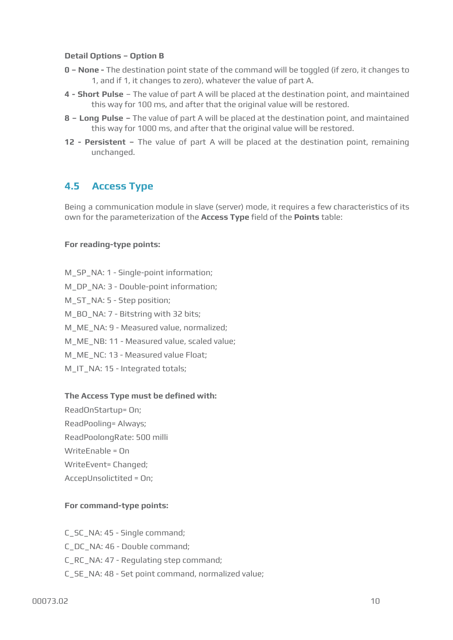#### **Detail Options – Option B**

- **0 – None -** The destination point state of the command will be toggled (if zero, it changes to 1, and if 1, it changes to zero), whatever the value of part A.
- **4 - Short Pulse** The value of part A will be placed at the destination point, and maintained this way for 100 ms, and after that the original value will be restored.
- **8 – Long Pulse –** The value of part A will be placed at the destination point, and maintained this way for 1000 ms, and after that the original value will be restored.
- **12 - Persistent –** The value of part A will be placed at the destination point, remaining unchanged.

# <span id="page-9-0"></span>**4.5 Access Type**

Being a communication module in slave (server) mode, it requires a few characteristics of its own for the parameterization of the **Access Type** field of the **Points** table:

#### **For reading-type points:**

M\_SP\_NA: 1 - Single-point information; M\_DP\_NA: 3 - Double-point information; M\_ST\_NA: 5 - Step position; M\_BO\_NA: 7 - Bitstring with 32 bits; M\_ME\_NA: 9 - Measured value, normalized; M\_ME\_NB: 11 - Measured value, scaled value; M\_ME\_NC: 13 - Measured value Float; M\_IT\_NA: 15 - Integrated totals;

#### **The Access Type must be defined with:**

ReadOnStartup= On; ReadPooling= Always; ReadPoolongRate: 500 milli WriteEnable = On WriteEvent= Changed; AccepUnsolictited = On;

#### **For command-type points:**

C\_SC\_NA: 45 - Single command; C\_DC\_NA: 46 - Double command; C\_RC\_NA: 47 - Regulating step command; C\_SE\_NA: 48 - Set point command, normalized value;